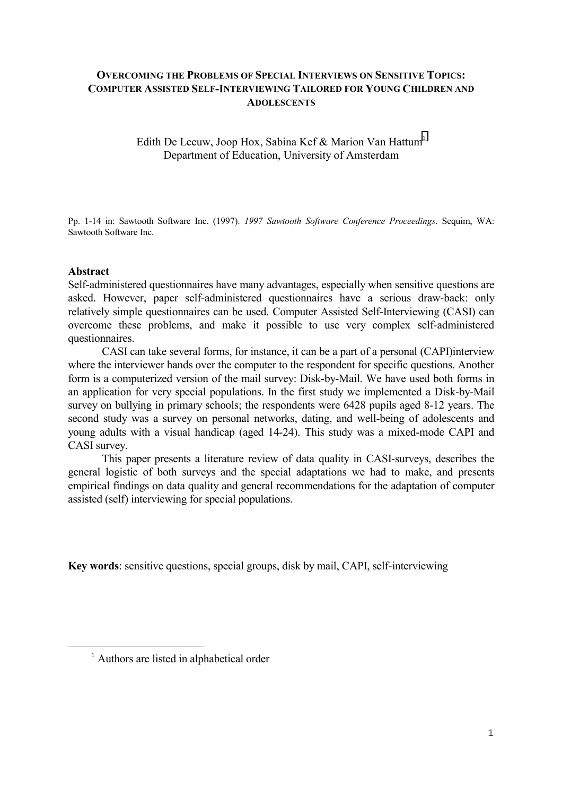## **OVERCOMING THE PROBLEMS OF SPECIAL INTERVIEWS ON SENSITIVE TOPICS: COMPUTER ASSISTED SELF-INTERVIEWING TAILORED FOR YOUNG CHILDREN AND ADOLESCENTS**

Edith De Leeuw, Joop Hox, Sabina Kef & Marion Van Hattum<sup>1</sup> Department of Education, University of Amsterdam

Pp. 1-14 in: Sawtooth Software Inc. (1997). *1997 Sawtooth Software Conference Proceedings*. Sequim, WA: Sawtooth Software Inc.

#### **Abstract**

÷,

Self-administered questionnaires have many advantages, especially when sensitive questions are asked. However, paper self-administered questionnaires have a serious draw-back: only relatively simple questionnaires can be used. Computer Assisted Self-Interviewing (CASI) can overcome these problems, and make it possible to use very complex self-administered questionnaires.

CASI can take several forms, for instance, it can be a part of a personal (CAPI)interview where the interviewer hands over the computer to the respondent for specific questions. Another form is a computerized version of the mail survey: Disk-by-Mail. We have used both forms in an application for very special populations. In the first study we implemented a Disk-by-Mail survey on bullying in primary schools; the respondents were 6428 pupils aged 8-12 years. The second study was a survey on personal networks, dating, and well-being of adolescents and young adults with a visual handicap (aged 14-24). This study was a mixed-mode CAPI and CASI survey.

This paper presents a literature review of data quality in CASI-surveys, describes the general logistic of both surveys and the special adaptations we had to make, and presents empirical findings on data quality and general recommendations for the adaptation of computer assisted (self) interviewing for special populations.

**Key words**: sensitive questions, special groups, disk by mail, CAPI, self-interviewing

<sup>&</sup>lt;sup>1</sup> Authors are listed in alphabetical order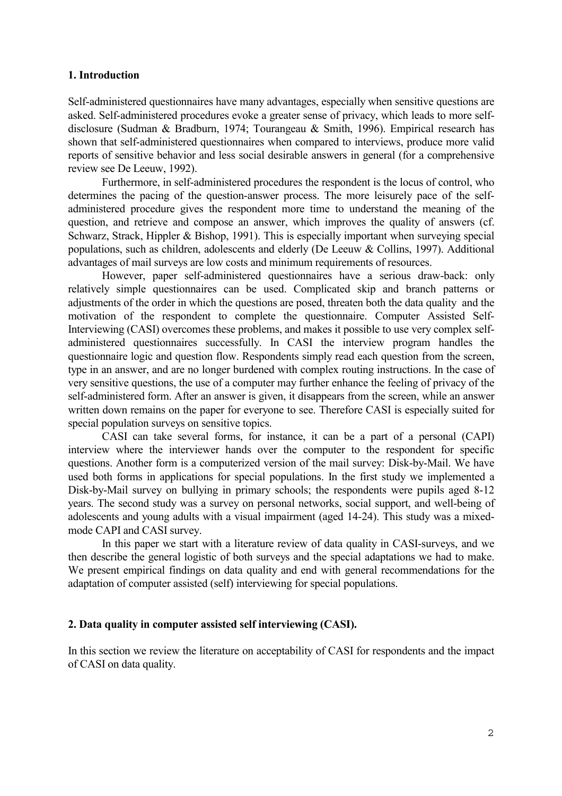## **1. Introduction**

Self-administered questionnaires have many advantages, especially when sensitive questions are asked. Self-administered procedures evoke a greater sense of privacy, which leads to more selfdisclosure (Sudman & Bradburn, 1974; Tourangeau & Smith, 1996). Empirical research has shown that self-administered questionnaires when compared to interviews, produce more valid reports of sensitive behavior and less social desirable answers in general (for a comprehensive review see De Leeuw, 1992).

Furthermore, in self-administered procedures the respondent is the locus of control, who determines the pacing of the question-answer process. The more leisurely pace of the selfadministered procedure gives the respondent more time to understand the meaning of the question, and retrieve and compose an answer, which improves the quality of answers (cf. Schwarz, Strack, Hippler & Bishop, 1991). This is especially important when surveying special populations, such as children, adolescents and elderly (De Leeuw & Collins, 1997). Additional advantages of mail surveys are low costs and minimum requirements of resources.

However, paper self-administered questionnaires have a serious draw-back: only relatively simple questionnaires can be used. Complicated skip and branch patterns or adjustments of the order in which the questions are posed, threaten both the data quality and the motivation of the respondent to complete the questionnaire. Computer Assisted Self-Interviewing (CASI) overcomes these problems, and makes it possible to use very complex selfadministered questionnaires successfully. In CASI the interview program handles the questionnaire logic and question flow. Respondents simply read each question from the screen, type in an answer, and are no longer burdened with complex routing instructions. In the case of very sensitive questions, the use of a computer may further enhance the feeling of privacy of the self-administered form. After an answer is given, it disappears from the screen, while an answer written down remains on the paper for everyone to see. Therefore CASI is especially suited for special population surveys on sensitive topics.

CASI can take several forms, for instance, it can be a part of a personal (CAPI) interview where the interviewer hands over the computer to the respondent for specific questions. Another form is a computerized version of the mail survey: Disk-by-Mail. We have used both forms in applications for special populations. In the first study we implemented a Disk-by-Mail survey on bullying in primary schools; the respondents were pupils aged 8-12 years. The second study was a survey on personal networks, social support, and well-being of adolescents and young adults with a visual impairment (aged 14-24). This study was a mixedmode CAPI and CASI survey.

In this paper we start with a literature review of data quality in CASI-surveys, and we then describe the general logistic of both surveys and the special adaptations we had to make. We present empirical findings on data quality and end with general recommendations for the adaptation of computer assisted (self) interviewing for special populations.

#### **2. Data quality in computer assisted self interviewing (CASI).**

In this section we review the literature on acceptability of CASI for respondents and the impact of CASI on data quality.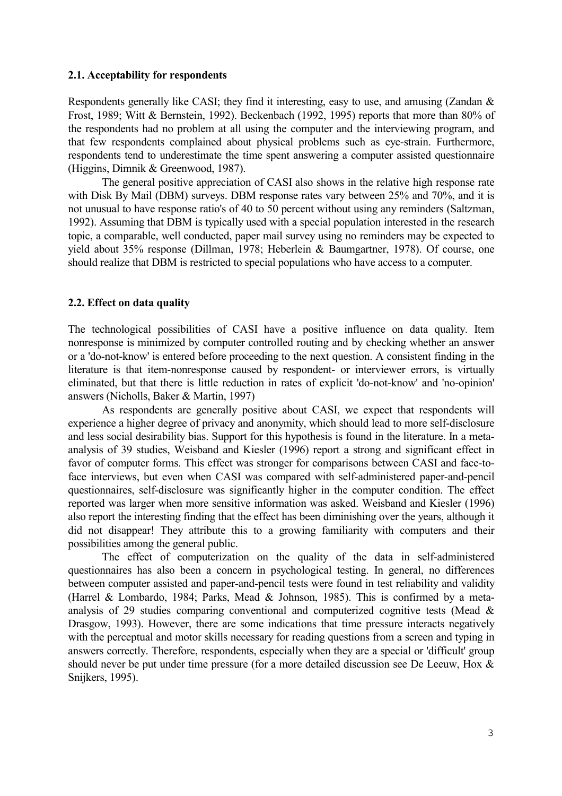#### **2.1. Acceptability for respondents**

Respondents generally like CASI; they find it interesting, easy to use, and amusing (Zandan & Frost, 1989; Witt & Bernstein, 1992). Beckenbach (1992, 1995) reports that more than 80% of the respondents had no problem at all using the computer and the interviewing program, and that few respondents complained about physical problems such as eye-strain. Furthermore, respondents tend to underestimate the time spent answering a computer assisted questionnaire (Higgins, Dimnik & Greenwood, 1987).

The general positive appreciation of CASI also shows in the relative high response rate with Disk By Mail (DBM) surveys. DBM response rates vary between 25% and 70%, and it is not unusual to have response ratio's of 40 to 50 percent without using any reminders (Saltzman, 1992). Assuming that DBM is typically used with a special population interested in the research topic, a comparable, well conducted, paper mail survey using no reminders may be expected to yield about 35% response (Dillman, 1978; Heberlein & Baumgartner, 1978). Of course, one should realize that DBM is restricted to special populations who have access to a computer.

## **2.2. Effect on data quality**

The technological possibilities of CASI have a positive influence on data quality. Item nonresponse is minimized by computer controlled routing and by checking whether an answer or a 'do-not-know' is entered before proceeding to the next question. A consistent finding in the literature is that item-nonresponse caused by respondent- or interviewer errors, is virtually eliminated, but that there is little reduction in rates of explicit 'do-not-know' and 'no-opinion' answers (Nicholls, Baker & Martin, 1997)

As respondents are generally positive about CASI, we expect that respondents will experience a higher degree of privacy and anonymity, which should lead to more self-disclosure and less social desirability bias. Support for this hypothesis is found in the literature. In a metaanalysis of 39 studies, Weisband and Kiesler (1996) report a strong and significant effect in favor of computer forms. This effect was stronger for comparisons between CASI and face-toface interviews, but even when CASI was compared with self-administered paper-and-pencil questionnaires, self-disclosure was significantly higher in the computer condition. The effect reported was larger when more sensitive information was asked. Weisband and Kiesler (1996) also report the interesting finding that the effect has been diminishing over the years, although it did not disappear! They attribute this to a growing familiarity with computers and their possibilities among the general public.

The effect of computerization on the quality of the data in self-administered questionnaires has also been a concern in psychological testing. In general, no differences between computer assisted and paper-and-pencil tests were found in test reliability and validity (Harrel & Lombardo, 1984; Parks, Mead & Johnson, 1985). This is confirmed by a metaanalysis of 29 studies comparing conventional and computerized cognitive tests (Mead & Drasgow, 1993). However, there are some indications that time pressure interacts negatively with the perceptual and motor skills necessary for reading questions from a screen and typing in answers correctly. Therefore, respondents, especially when they are a special or 'difficult' group should never be put under time pressure (for a more detailed discussion see De Leeuw, Hox & Snijkers, 1995).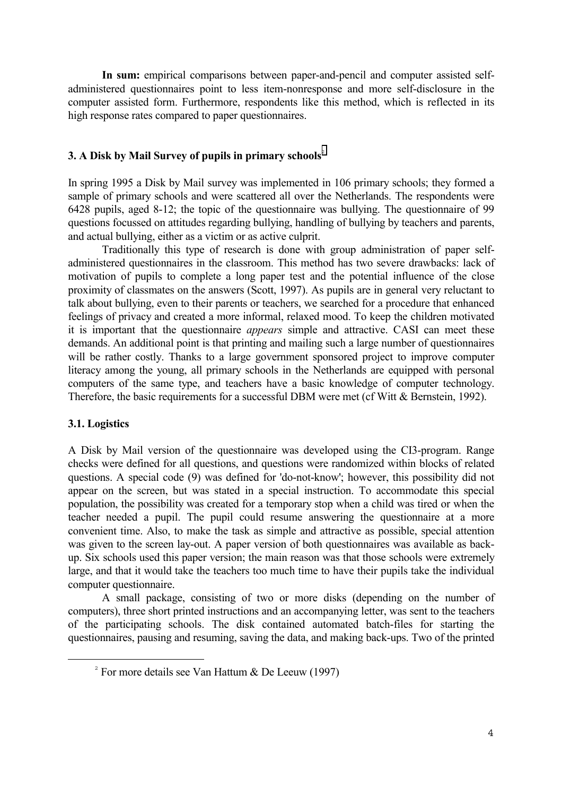**In sum:** empirical comparisons between paper-and-pencil and computer assisted selfadministered questionnaires point to less item-nonresponse and more self-disclosure in the computer assisted form. Furthermore, respondents like this method, which is reflected in its high response rates compared to paper questionnaires.

## **3. A Disk by Mail Survey of pupils in primary schools**<sup>2</sup>

In spring 1995 a Disk by Mail survey was implemented in 106 primary schools; they formed a sample of primary schools and were scattered all over the Netherlands. The respondents were 6428 pupils, aged 8-12; the topic of the questionnaire was bullying. The questionnaire of 99 questions focussed on attitudes regarding bullying, handling of bullying by teachers and parents, and actual bullying, either as a victim or as active culprit.

Traditionally this type of research is done with group administration of paper selfadministered questionnaires in the classroom. This method has two severe drawbacks: lack of motivation of pupils to complete a long paper test and the potential influence of the close proximity of classmates on the answers (Scott, 1997). As pupils are in general very reluctant to talk about bullying, even to their parents or teachers, we searched for a procedure that enhanced feelings of privacy and created a more informal, relaxed mood. To keep the children motivated it is important that the questionnaire *appears* simple and attractive. CASI can meet these demands. An additional point is that printing and mailing such a large number of questionnaires will be rather costly. Thanks to a large government sponsored project to improve computer literacy among the young, all primary schools in the Netherlands are equipped with personal computers of the same type, and teachers have a basic knowledge of computer technology. Therefore, the basic requirements for a successful DBM were met (cf Witt & Bernstein, 1992).

#### **3.1. Logistics**

÷,

A Disk by Mail version of the questionnaire was developed using the CI3-program. Range checks were defined for all questions, and questions were randomized within blocks of related questions. A special code (9) was defined for 'do-not-know'; however, this possibility did not appear on the screen, but was stated in a special instruction. To accommodate this special population, the possibility was created for a temporary stop when a child was tired or when the teacher needed a pupil. The pupil could resume answering the questionnaire at a more convenient time. Also, to make the task as simple and attractive as possible, special attention was given to the screen lay-out. A paper version of both questionnaires was available as backup. Six schools used this paper version; the main reason was that those schools were extremely large, and that it would take the teachers too much time to have their pupils take the individual computer questionnaire.

A small package, consisting of two or more disks (depending on the number of computers), three short printed instructions and an accompanying letter, was sent to the teachers of the participating schools. The disk contained automated batch-files for starting the questionnaires, pausing and resuming, saving the data, and making back-ups. Two of the printed

<sup>&</sup>lt;sup>2</sup> For more details see Van Hattum & De Leeuw (1997)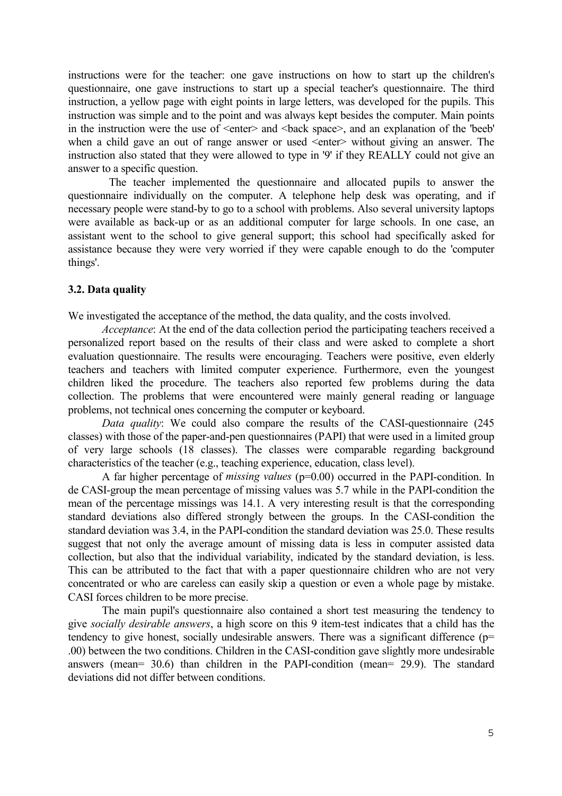instructions were for the teacher: one gave instructions on how to start up the children's questionnaire, one gave instructions to start up a special teacher's questionnaire. The third instruction, a yellow page with eight points in large letters, was developed for the pupils. This instruction was simple and to the point and was always kept besides the computer. Main points in the instruction were the use of  $\leq$  enter $\geq$  and  $\leq$  back space $\geq$ , and an explanation of the 'beeb' when a child gave an out of range answer or used  $\le$  enter $\ge$  without giving an answer. The instruction also stated that they were allowed to type in '9' if they REALLY could not give an answer to a specific question.

 The teacher implemented the questionnaire and allocated pupils to answer the questionnaire individually on the computer. A telephone help desk was operating, and if necessary people were stand-by to go to a school with problems. Also several university laptops were available as back-up or as an additional computer for large schools. In one case, an assistant went to the school to give general support; this school had specifically asked for assistance because they were very worried if they were capable enough to do the 'computer things'.

### **3.2. Data quality**

We investigated the acceptance of the method, the data quality, and the costs involved.

*Acceptance*: At the end of the data collection period the participating teachers received a personalized report based on the results of their class and were asked to complete a short evaluation questionnaire. The results were encouraging. Teachers were positive, even elderly teachers and teachers with limited computer experience. Furthermore, even the youngest children liked the procedure. The teachers also reported few problems during the data collection. The problems that were encountered were mainly general reading or language problems, not technical ones concerning the computer or keyboard.

*Data quality*: We could also compare the results of the CASI-questionnaire (245 classes) with those of the paper-and-pen questionnaires (PAPI) that were used in a limited group of very large schools (18 classes). The classes were comparable regarding background characteristics of the teacher (e.g., teaching experience, education, class level).

A far higher percentage of *missing values* (p=0.00) occurred in the PAPI-condition. In de CASI-group the mean percentage of missing values was 5.7 while in the PAPI-condition the mean of the percentage missings was 14.1. A very interesting result is that the corresponding standard deviations also differed strongly between the groups. In the CASI-condition the standard deviation was 3.4, in the PAPI-condition the standard deviation was 25.0. These results suggest that not only the average amount of missing data is less in computer assisted data collection, but also that the individual variability, indicated by the standard deviation, is less. This can be attributed to the fact that with a paper questionnaire children who are not very concentrated or who are careless can easily skip a question or even a whole page by mistake. CASI forces children to be more precise.

The main pupil's questionnaire also contained a short test measuring the tendency to give *socially desirable answers*, a high score on this 9 item-test indicates that a child has the tendency to give honest, socially undesirable answers. There was a significant difference ( $p=$ .00) between the two conditions. Children in the CASI-condition gave slightly more undesirable answers (mean= 30.6) than children in the PAPI-condition (mean= 29.9). The standard deviations did not differ between conditions.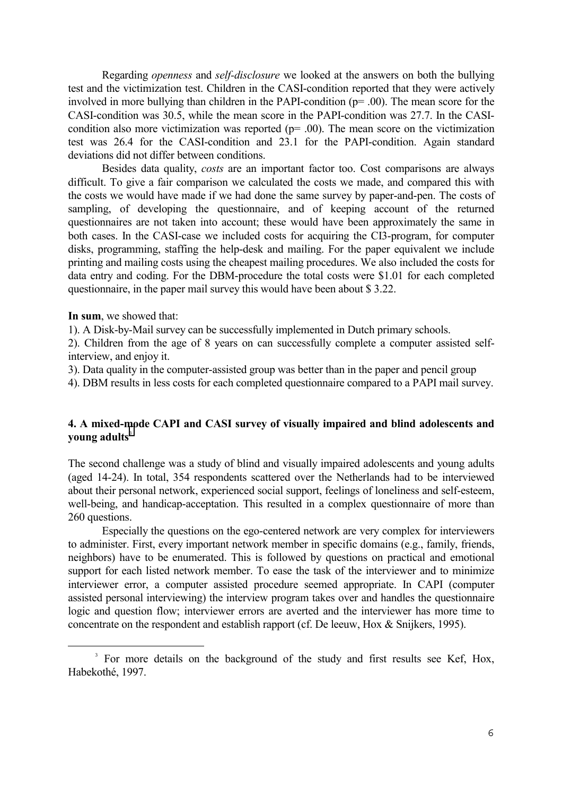Regarding *openness* and *self-disclosure* we looked at the answers on both the bullying test and the victimization test. Children in the CASI-condition reported that they were actively involved in more bullying than children in the PAPI-condition (p= .00). The mean score for the CASI-condition was 30.5, while the mean score in the PAPI-condition was 27.7. In the CASIcondition also more victimization was reported  $(p= .00)$ . The mean score on the victimization test was 26.4 for the CASI-condition and 23.1 for the PAPI-condition. Again standard deviations did not differ between conditions.

Besides data quality, *costs* are an important factor too. Cost comparisons are always difficult. To give a fair comparison we calculated the costs we made, and compared this with the costs we would have made if we had done the same survey by paper-and-pen. The costs of sampling, of developing the questionnaire, and of keeping account of the returned questionnaires are not taken into account; these would have been approximately the same in both cases. In the CASI-case we included costs for acquiring the CI3-program, for computer disks, programming, staffing the help-desk and mailing. For the paper equivalent we include printing and mailing costs using the cheapest mailing procedures. We also included the costs for data entry and coding. For the DBM-procedure the total costs were \$1.01 for each completed questionnaire, in the paper mail survey this would have been about \$ 3.22.

**In sum**, we showed that:

÷,

1). A Disk-by-Mail survey can be successfully implemented in Dutch primary schools.

2). Children from the age of 8 years on can successfully complete a computer assisted selfinterview, and enjoy it.

3). Data quality in the computer-assisted group was better than in the paper and pencil group

4). DBM results in less costs for each completed questionnaire compared to a PAPI mail survey.

## **4. A mixed-mode CAPI and CASI survey of visually impaired and blind adolescents and young adults**<sup>3</sup>

The second challenge was a study of blind and visually impaired adolescents and young adults (aged 14-24). In total, 354 respondents scattered over the Netherlands had to be interviewed about their personal network, experienced social support, feelings of loneliness and self-esteem, well-being, and handicap-acceptation. This resulted in a complex questionnaire of more than 260 questions.

Especially the questions on the ego-centered network are very complex for interviewers to administer. First, every important network member in specific domains (e.g., family, friends, neighbors) have to be enumerated. This is followed by questions on practical and emotional support for each listed network member. To ease the task of the interviewer and to minimize interviewer error, a computer assisted procedure seemed appropriate. In CAPI (computer assisted personal interviewing) the interview program takes over and handles the questionnaire logic and question flow; interviewer errors are averted and the interviewer has more time to concentrate on the respondent and establish rapport (cf. De leeuw, Hox & Snijkers, 1995).

<sup>&</sup>lt;sup>3</sup> For more details on the background of the study and first results see Kef, Hox, Habekothé, 1997.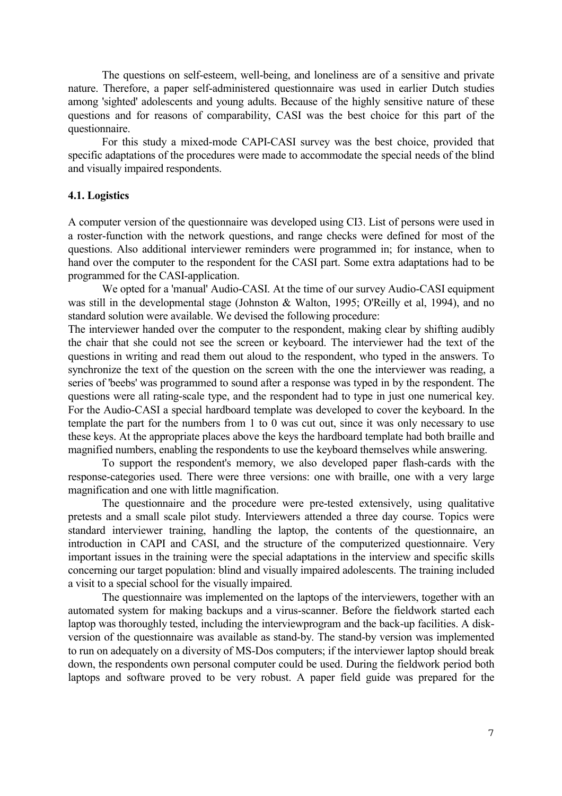The questions on self-esteem, well-being, and loneliness are of a sensitive and private nature. Therefore, a paper self-administered questionnaire was used in earlier Dutch studies among 'sighted' adolescents and young adults. Because of the highly sensitive nature of these questions and for reasons of comparability, CASI was the best choice for this part of the questionnaire.

For this study a mixed-mode CAPI-CASI survey was the best choice, provided that specific adaptations of the procedures were made to accommodate the special needs of the blind and visually impaired respondents.

#### **4.1. Logistics**

A computer version of the questionnaire was developed using CI3. List of persons were used in a roster-function with the network questions, and range checks were defined for most of the questions. Also additional interviewer reminders were programmed in; for instance, when to hand over the computer to the respondent for the CASI part. Some extra adaptations had to be programmed for the CASI-application.

We opted for a 'manual' Audio-CASI. At the time of our survey Audio-CASI equipment was still in the developmental stage (Johnston & Walton, 1995; O'Reilly et al, 1994), and no standard solution were available. We devised the following procedure:

The interviewer handed over the computer to the respondent, making clear by shifting audibly the chair that she could not see the screen or keyboard. The interviewer had the text of the questions in writing and read them out aloud to the respondent, who typed in the answers. To synchronize the text of the question on the screen with the one the interviewer was reading, a series of 'beebs' was programmed to sound after a response was typed in by the respondent. The questions were all rating-scale type, and the respondent had to type in just one numerical key. For the Audio-CASI a special hardboard template was developed to cover the keyboard. In the template the part for the numbers from 1 to 0 was cut out, since it was only necessary to use these keys. At the appropriate places above the keys the hardboard template had both braille and magnified numbers, enabling the respondents to use the keyboard themselves while answering.

To support the respondent's memory, we also developed paper flash-cards with the response-categories used. There were three versions: one with braille, one with a very large magnification and one with little magnification.

The questionnaire and the procedure were pre-tested extensively, using qualitative pretests and a small scale pilot study. Interviewers attended a three day course. Topics were standard interviewer training, handling the laptop, the contents of the questionnaire, an introduction in CAPI and CASI, and the structure of the computerized questionnaire. Very important issues in the training were the special adaptations in the interview and specific skills concerning our target population: blind and visually impaired adolescents. The training included a visit to a special school for the visually impaired.

The questionnaire was implemented on the laptops of the interviewers, together with an automated system for making backups and a virus-scanner. Before the fieldwork started each laptop was thoroughly tested, including the interviewprogram and the back-up facilities. A diskversion of the questionnaire was available as stand-by. The stand-by version was implemented to run on adequately on a diversity of MS-Dos computers; if the interviewer laptop should break down, the respondents own personal computer could be used. During the fieldwork period both laptops and software proved to be very robust. A paper field guide was prepared for the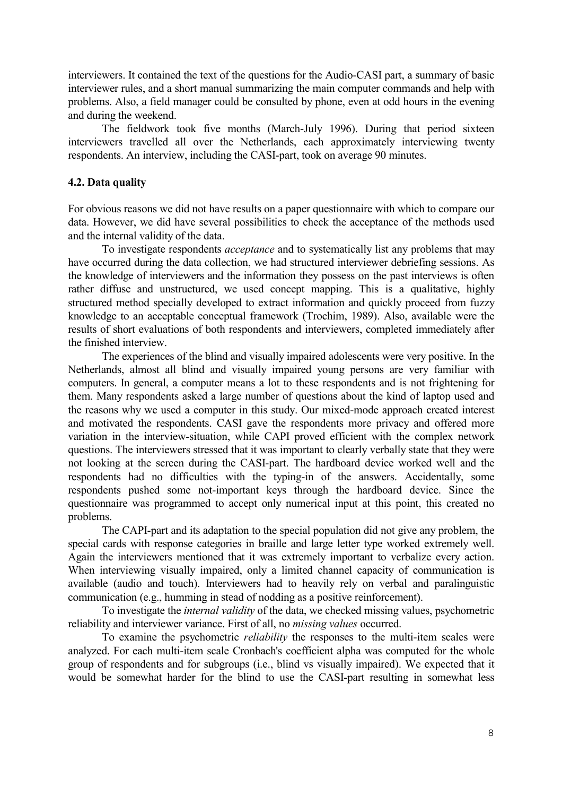interviewers. It contained the text of the questions for the Audio-CASI part, a summary of basic interviewer rules, and a short manual summarizing the main computer commands and help with problems. Also, a field manager could be consulted by phone, even at odd hours in the evening and during the weekend.

The fieldwork took five months (March-July 1996). During that period sixteen interviewers travelled all over the Netherlands, each approximately interviewing twenty respondents. An interview, including the CASI-part, took on average 90 minutes.

## **4.2. Data quality**

For obvious reasons we did not have results on a paper questionnaire with which to compare our data. However, we did have several possibilities to check the acceptance of the methods used and the internal validity of the data.

To investigate respondents *acceptance* and to systematically list any problems that may have occurred during the data collection, we had structured interviewer debriefing sessions. As the knowledge of interviewers and the information they possess on the past interviews is often rather diffuse and unstructured, we used concept mapping. This is a qualitative, highly structured method specially developed to extract information and quickly proceed from fuzzy knowledge to an acceptable conceptual framework (Trochim, 1989). Also, available were the results of short evaluations of both respondents and interviewers, completed immediately after the finished interview.

The experiences of the blind and visually impaired adolescents were very positive. In the Netherlands, almost all blind and visually impaired young persons are very familiar with computers. In general, a computer means a lot to these respondents and is not frightening for them. Many respondents asked a large number of questions about the kind of laptop used and the reasons why we used a computer in this study. Our mixed-mode approach created interest and motivated the respondents. CASI gave the respondents more privacy and offered more variation in the interview-situation, while CAPI proved efficient with the complex network questions. The interviewers stressed that it was important to clearly verbally state that they were not looking at the screen during the CASI-part. The hardboard device worked well and the respondents had no difficulties with the typing-in of the answers. Accidentally, some respondents pushed some not-important keys through the hardboard device. Since the questionnaire was programmed to accept only numerical input at this point, this created no problems.

The CAPI-part and its adaptation to the special population did not give any problem, the special cards with response categories in braille and large letter type worked extremely well. Again the interviewers mentioned that it was extremely important to verbalize every action. When interviewing visually impaired, only a limited channel capacity of communication is available (audio and touch). Interviewers had to heavily rely on verbal and paralinguistic communication (e.g., humming in stead of nodding as a positive reinforcement).

To investigate the *internal validity* of the data, we checked missing values, psychometric reliability and interviewer variance. First of all, no *missing values* occurred.

To examine the psychometric *reliability* the responses to the multi-item scales were analyzed. For each multi-item scale Cronbach's coefficient alpha was computed for the whole group of respondents and for subgroups (i.e., blind vs visually impaired). We expected that it would be somewhat harder for the blind to use the CASI-part resulting in somewhat less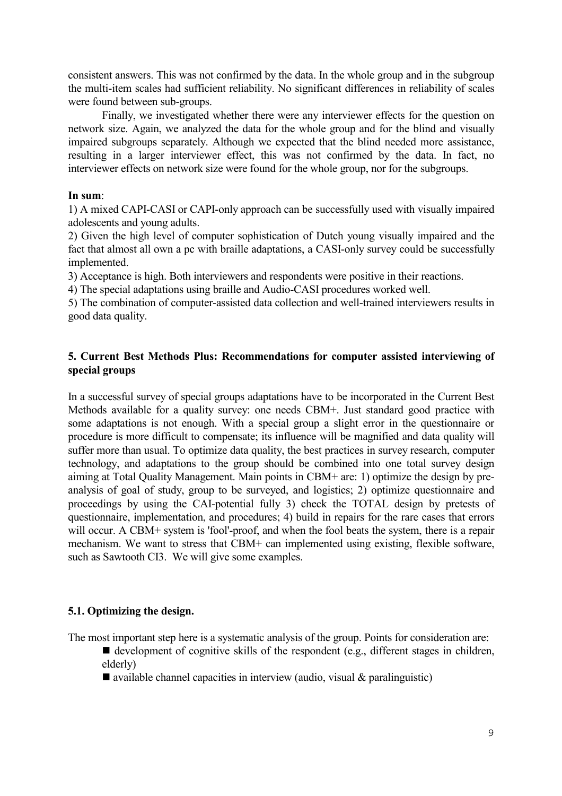consistent answers. This was not confirmed by the data. In the whole group and in the subgroup the multi-item scales had sufficient reliability. No significant differences in reliability of scales were found between sub-groups.

Finally, we investigated whether there were any interviewer effects for the question on network size. Again, we analyzed the data for the whole group and for the blind and visually impaired subgroups separately. Although we expected that the blind needed more assistance, resulting in a larger interviewer effect, this was not confirmed by the data. In fact, no interviewer effects on network size were found for the whole group, nor for the subgroups.

## **In sum**:

1) A mixed CAPI-CASI or CAPI-only approach can be successfully used with visually impaired adolescents and young adults.

2) Given the high level of computer sophistication of Dutch young visually impaired and the fact that almost all own a pc with braille adaptations, a CASI-only survey could be successfully implemented.

3) Acceptance is high. Both interviewers and respondents were positive in their reactions.

4) The special adaptations using braille and Audio-CASI procedures worked well.

5) The combination of computer-assisted data collection and well-trained interviewers results in good data quality.

# **5. Current Best Methods Plus: Recommendations for computer assisted interviewing of special groups**

In a successful survey of special groups adaptations have to be incorporated in the Current Best Methods available for a quality survey: one needs CBM+. Just standard good practice with some adaptations is not enough. With a special group a slight error in the questionnaire or procedure is more difficult to compensate; its influence will be magnified and data quality will suffer more than usual. To optimize data quality, the best practices in survey research, computer technology, and adaptations to the group should be combined into one total survey design aiming at Total Quality Management. Main points in CBM+ are: 1) optimize the design by preanalysis of goal of study, group to be surveyed, and logistics; 2) optimize questionnaire and proceedings by using the CAI-potential fully 3) check the TOTAL design by pretests of questionnaire, implementation, and procedures; 4) build in repairs for the rare cases that errors will occur. A CBM+ system is 'fool'-proof, and when the fool beats the system, there is a repair mechanism. We want to stress that CBM+ can implemented using existing, flexible software, such as Sawtooth CI3. We will give some examples.

# **5.1. Optimizing the design.**

The most important step here is a systematic analysis of the group. Points for consideration are:

- development of cognitive skills of the respondent (e.g., different stages in children, elderly)
- $\blacksquare$  available channel capacities in interview (audio, visual & paralinguistic)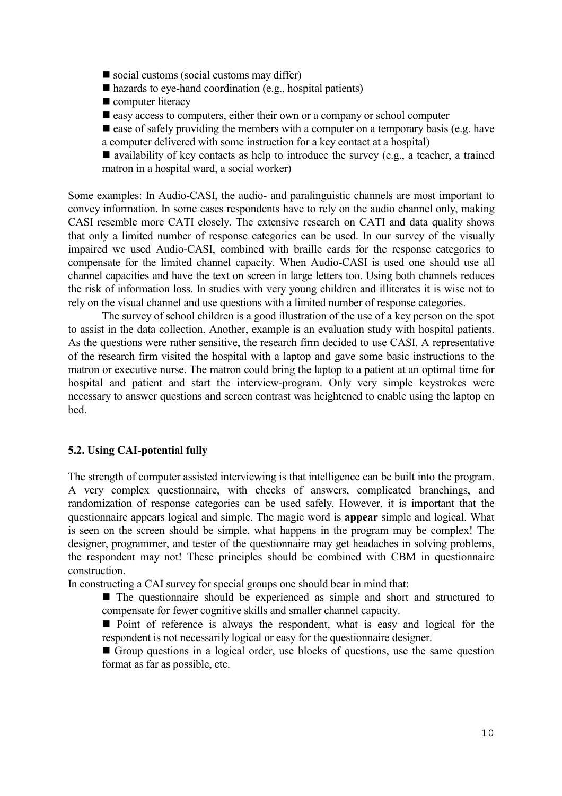- $\blacksquare$  social customs (social customs may differ)
- $\blacksquare$  hazards to eye-hand coordination (e.g., hospital patients)
- computer literacy
- easy access to computers, either their own or a company or school computer

 $\blacksquare$  ease of safely providing the members with a computer on a temporary basis (e.g. have a computer delivered with some instruction for a key contact at a hospital)

 $\blacksquare$  availability of key contacts as help to introduce the survey (e.g., a teacher, a trained matron in a hospital ward, a social worker)

Some examples: In Audio-CASI, the audio- and paralinguistic channels are most important to convey information. In some cases respondents have to rely on the audio channel only, making CASI resemble more CATI closely. The extensive research on CATI and data quality shows that only a limited number of response categories can be used. In our survey of the visually impaired we used Audio-CASI, combined with braille cards for the response categories to compensate for the limited channel capacity. When Audio-CASI is used one should use all channel capacities and have the text on screen in large letters too. Using both channels reduces the risk of information loss. In studies with very young children and illiterates it is wise not to rely on the visual channel and use questions with a limited number of response categories.

The survey of school children is a good illustration of the use of a key person on the spot to assist in the data collection. Another, example is an evaluation study with hospital patients. As the questions were rather sensitive, the research firm decided to use CASI. A representative of the research firm visited the hospital with a laptop and gave some basic instructions to the matron or executive nurse. The matron could bring the laptop to a patient at an optimal time for hospital and patient and start the interview-program. Only very simple keystrokes were necessary to answer questions and screen contrast was heightened to enable using the laptop en bed.

## **5.2. Using CAI-potential fully**

The strength of computer assisted interviewing is that intelligence can be built into the program. A very complex questionnaire, with checks of answers, complicated branchings, and randomization of response categories can be used safely. However, it is important that the questionnaire appears logical and simple. The magic word is **appear** simple and logical. What is seen on the screen should be simple, what happens in the program may be complex! The designer, programmer, and tester of the questionnaire may get headaches in solving problems, the respondent may not! These principles should be combined with CBM in questionnaire construction.

In constructing a CAI survey for special groups one should bear in mind that:

■ The questionnaire should be experienced as simple and short and structured to compensate for fewer cognitive skills and smaller channel capacity.

**Point of reference is always the respondent, what is easy and logical for the** respondent is not necessarily logical or easy for the questionnaire designer.

Group questions in a logical order, use blocks of questions, use the same question format as far as possible, etc.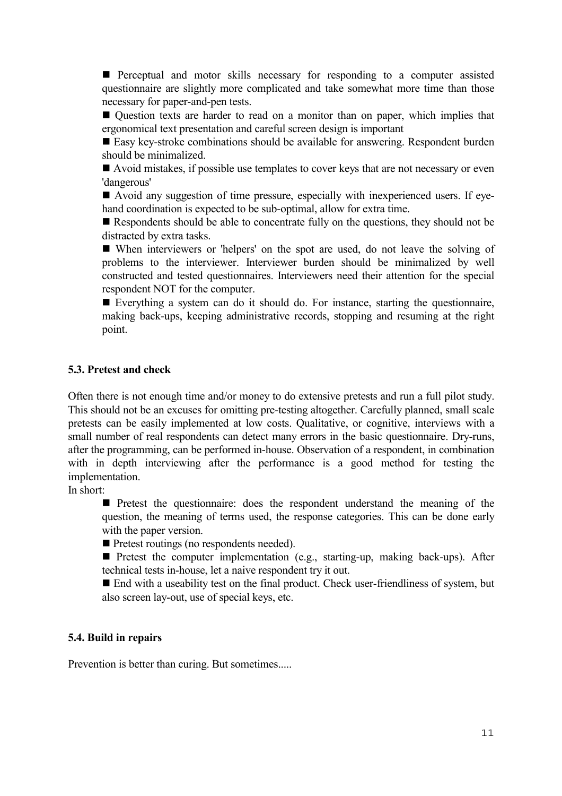**Perceptual and motor skills necessary for responding to a computer assisted** questionnaire are slightly more complicated and take somewhat more time than those necessary for paper-and-pen tests.

 Question texts are harder to read on a monitor than on paper, which implies that ergonomical text presentation and careful screen design is important

■ Easy key-stroke combinations should be available for answering. Respondent burden should be minimalized.

Avoid mistakes, if possible use templates to cover keys that are not necessary or even 'dangerous'

 Avoid any suggestion of time pressure, especially with inexperienced users. If eyehand coordination is expected to be sub-optimal, allow for extra time.

Respondents should be able to concentrate fully on the questions, they should not be distracted by extra tasks.

 When interviewers or 'helpers' on the spot are used, do not leave the solving of problems to the interviewer. Interviewer burden should be minimalized by well constructed and tested questionnaires. Interviewers need their attention for the special respondent NOT for the computer.

 Everything a system can do it should do. For instance, starting the questionnaire, making back-ups, keeping administrative records, stopping and resuming at the right point.

#### **5.3. Pretest and check**

Often there is not enough time and/or money to do extensive pretests and run a full pilot study. This should not be an excuses for omitting pre-testing altogether. Carefully planned, small scale pretests can be easily implemented at low costs. Qualitative, or cognitive, interviews with a small number of real respondents can detect many errors in the basic questionnaire. Dry-runs, after the programming, can be performed in-house. Observation of a respondent, in combination with in depth interviewing after the performance is a good method for testing the implementation.

In short:

**Pretest the questionnaire:** does the respondent understand the meaning of the question, the meaning of terms used, the response categories. This can be done early with the paper version.

**Pretest routings (no respondents needed).** 

**Pretest the computer implementation (e.g., starting-up, making back-ups).** After technical tests in-house, let a naive respondent try it out.

■ End with a useability test on the final product. Check user-friendliness of system, but also screen lay-out, use of special keys, etc.

## **5.4. Build in repairs**

Prevention is better than curing. But sometimes.....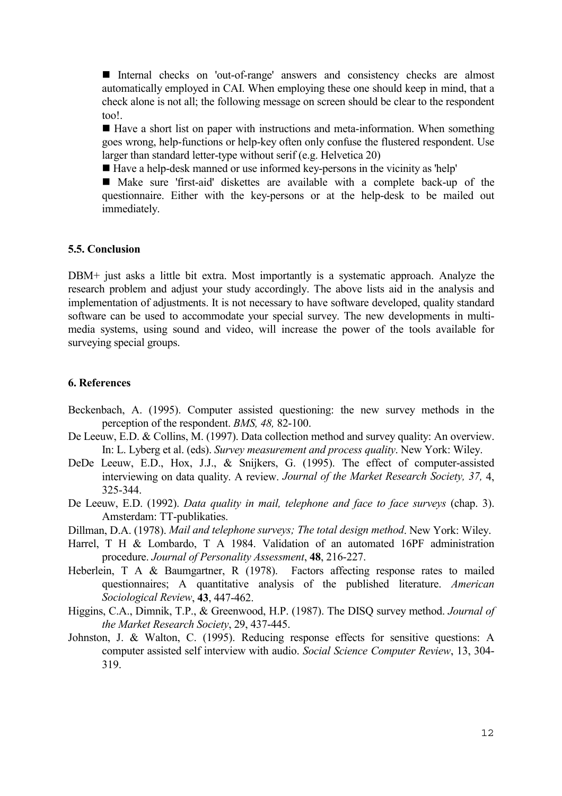Internal checks on 'out-of-range' answers and consistency checks are almost automatically employed in CAI. When employing these one should keep in mind, that a check alone is not all; the following message on screen should be clear to the respondent too!.

 $\blacksquare$  Have a short list on paper with instructions and meta-information. When something goes wrong, help-functions or help-key often only confuse the flustered respondent. Use larger than standard letter-type without serif (e.g. Helvetica 20)

Have a help-desk manned or use informed key-persons in the vicinity as 'help'

 Make sure 'first-aid' diskettes are available with a complete back-up of the questionnaire. Either with the key-persons or at the help-desk to be mailed out immediately.

## **5.5. Conclusion**

DBM+ just asks a little bit extra. Most importantly is a systematic approach. Analyze the research problem and adjust your study accordingly. The above lists aid in the analysis and implementation of adjustments. It is not necessary to have software developed, quality standard software can be used to accommodate your special survey. The new developments in multimedia systems, using sound and video, will increase the power of the tools available for surveying special groups.

### **6. References**

- Beckenbach, A. (1995). Computer assisted questioning: the new survey methods in the perception of the respondent. *BMS, 48,* 82-100.
- De Leeuw, E.D. & Collins, M. (1997). Data collection method and survey quality: An overview. In: L. Lyberg et al. (eds). *Survey measurement and process quality*. New York: Wiley.
- DeDe Leeuw, E.D., Hox, J.J., & Snijkers, G. (1995). The effect of computer-assisted interviewing on data quality. A review. *Journal of the Market Research Society, 37,* 4, 325-344.
- De Leeuw, E.D. (1992). *Data quality in mail, telephone and face to face surveys* (chap. 3). Amsterdam: TT-publikaties.
- Dillman, D.A. (1978). *Mail and telephone surveys; The total design method*. New York: Wiley.
- Harrel, T H & Lombardo, T A 1984. Validation of an automated 16PF administration procedure. *Journal of Personality Assessment*, **48**, 216-227.
- Heberlein, T A & Baumgartner, R (1978). Factors affecting response rates to mailed questionnaires; A quantitative analysis of the published literature. *American Sociological Review*, **43**, 447-462.
- Higgins, C.A., Dimnik, T.P., & Greenwood, H.P. (1987). The DISQ survey method. *Journal of the Market Research Society*, 29, 437-445.
- Johnston, J. & Walton, C. (1995). Reducing response effects for sensitive questions: A computer assisted self interview with audio. *Social Science Computer Review*, 13, 304- 319.